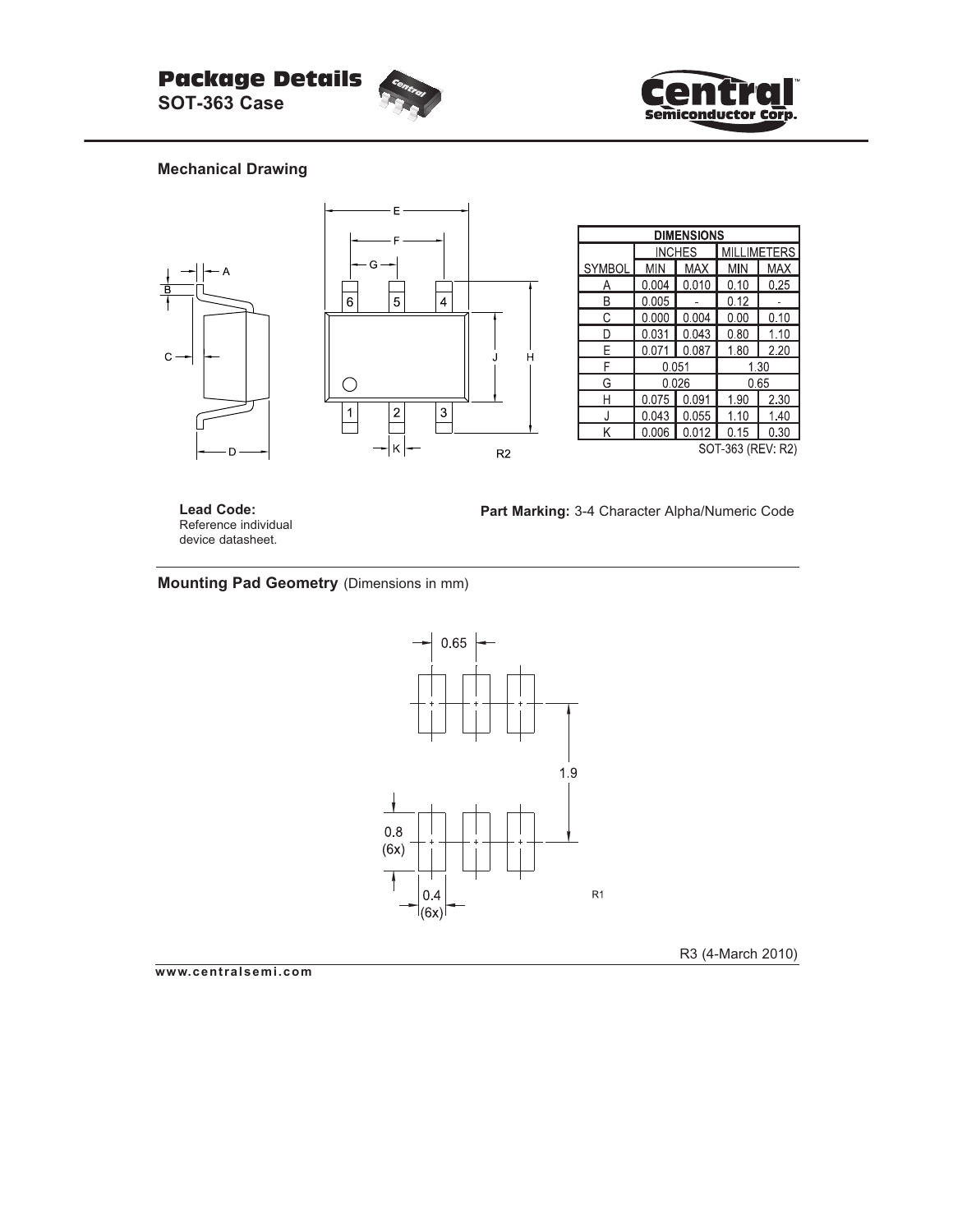



## **Mechanical Drawing**



**Lead Code:** Reference individual device datasheet.

**Part Marking:** 3-4 Character Alpha/Numeric Code

## **Mounting Pad Geometry** (Dimensions in mm)



R3 (4-March 2010)

**www.centralsemi.com**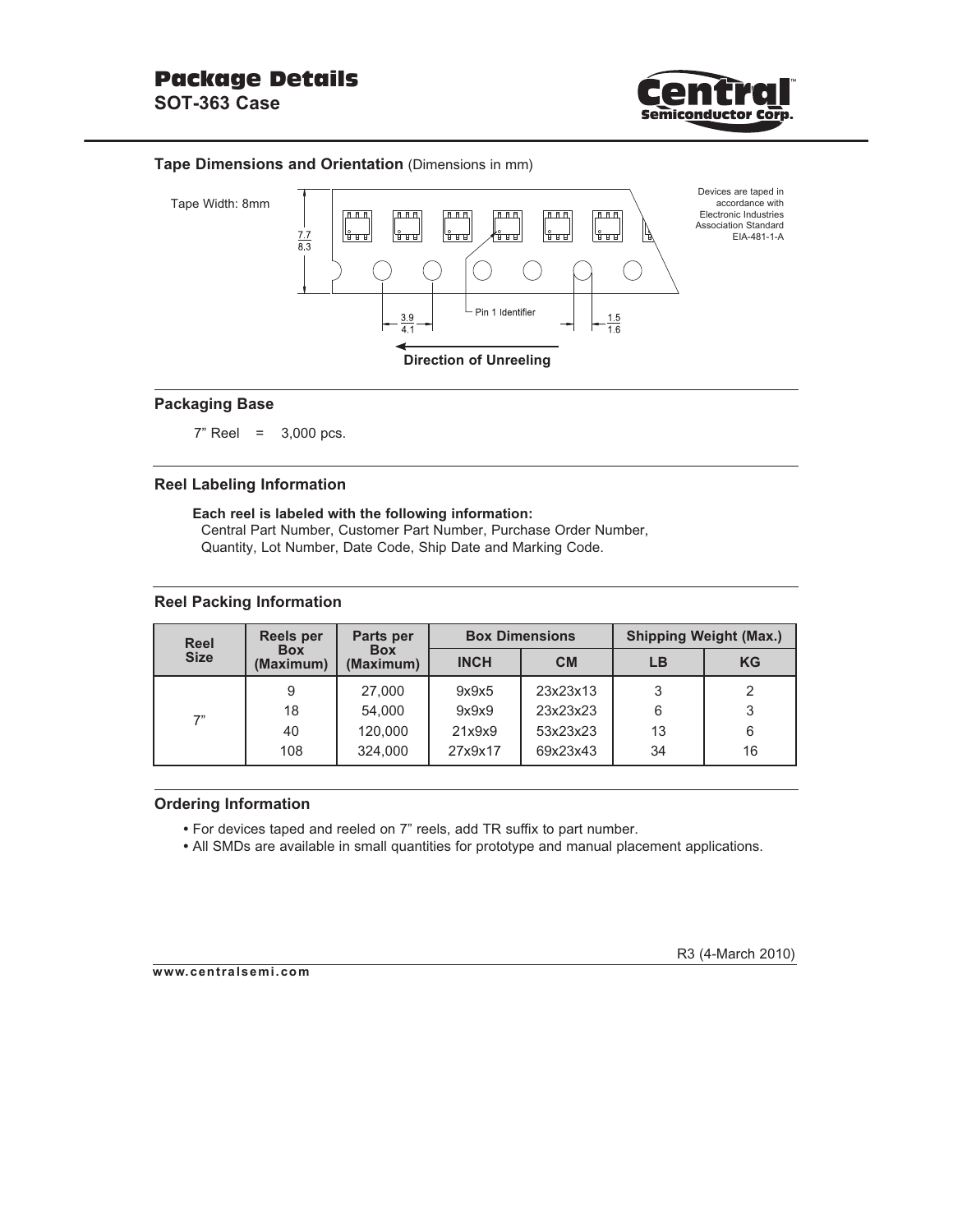

### **Tape Dimensions and Orientation** (Dimensions in mm)



### **Packaging Base**

 $7"$  Reel = 3,000 pcs.

#### **Reel Labeling Information**

**Each reel is labeled with the following information:** Central Part Number, Customer Part Number, Purchase Order Number, Quantity, Lot Number, Date Code, Ship Date and Marking Code.

#### **Reel Packing Information**

| <b>Reel</b> | Reels per               | Parts per               |             | <b>Box Dimensions</b> | <b>Shipping Weight (Max.)</b> |           |  |
|-------------|-------------------------|-------------------------|-------------|-----------------------|-------------------------------|-----------|--|
| <b>Size</b> | <b>Box</b><br>(Maximum) | <b>Box</b><br>(Maximum) | <b>INCH</b> | <b>CM</b>             | LВ                            | <b>KG</b> |  |
| 7"          | 9                       | 27,000                  | 9x9x5       | 23x23x13              | 3                             |           |  |
|             | 18                      | 54.000                  | 9x9x9       | 23x23x23              | 6                             | 3         |  |
|             | 40                      | 120,000                 | 21x9x9      | 53x23x23              | 13                            | 6         |  |
|             | 108                     | 324.000                 | 27x9x17     | 69x23x43              | 34                            | 16        |  |

#### **Ordering Information**

- For devices taped and reeled on 7" reels, add TR suffix to part number.
- All SMDs are available in small quantities for prototype and manual placement applications.

#### **www.centralsemi.com**

R3 (4-March 2010)